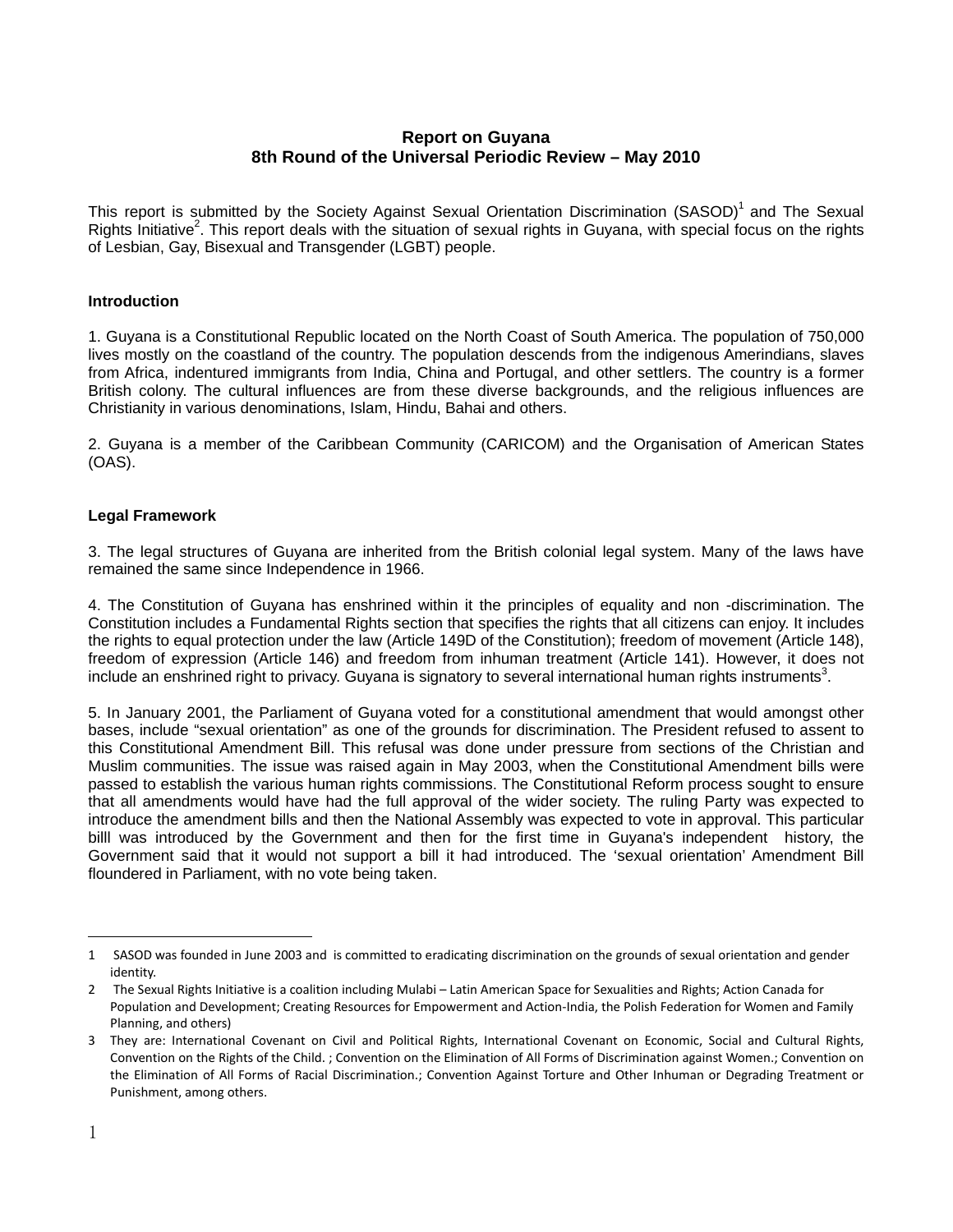# **Report on Guyana 8th Round of the Universal Periodic Review – May 2010**

This report is submitted by the Society Against Sexual Orientation Discrimination (SASOD)<sup>1</sup> and The Sexual Rights Initiative<sup>2</sup>. This report deals with the situation of sexual rights in Guyana, with special focus on the rights of Lesbian, Gay, Bisexual and Transgender (LGBT) people.

## **Introduction**

1. Guyana is a Constitutional Republic located on the North Coast of South America. The population of 750,000 lives mostly on the coastland of the country. The population descends from the indigenous Amerindians, slaves from Africa, indentured immigrants from India, China and Portugal, and other settlers. The country is a former British colony. The cultural influences are from these diverse backgrounds, and the religious influences are Christianity in various denominations, Islam, Hindu, Bahai and others.

2. Guyana is a member of the Caribbean Community (CARICOM) and the Organisation of American States (OAS).

## **Legal Framework**

3. The legal structures of Guyana are inherited from the British colonial legal system. Many of the laws have remained the same since Independence in 1966.

4. The Constitution of Guyana has enshrined within it the principles of equality and non -discrimination. The Constitution includes a Fundamental Rights section that specifies the rights that all citizens can enjoy. It includes the rights to equal protection under the law (Article 149D of the Constitution); freedom of movement (Article 148), freedom of expression (Article 146) and freedom from inhuman treatment (Article 141). However, it does not include an enshrined right to privacy. Guyana is signatory to several international human rights instruments<sup>3</sup>.

5. In January 2001, the Parliament of Guyana voted for a constitutional amendment that would amongst other bases, include "sexual orientation" as one of the grounds for discrimination. The President refused to assent to this Constitutional Amendment Bill. This refusal was done under pressure from sections of the Christian and Muslim communities. The issue was raised again in May 2003, when the Constitutional Amendment bills were passed to establish the various human rights commissions. The Constitutional Reform process sought to ensure that all amendments would have had the full approval of the wider society. The ruling Party was expected to introduce the amendment bills and then the National Assembly was expected to vote in approval. This particular billl was introduced by the Government and then for the first time in Guyana's independent history, the Government said that it would not support a bill it had introduced. The 'sexual orientation' Amendment Bill floundered in Parliament, with no vote being taken.

l

<sup>1</sup> SASOD was founded in June 2003 and is committed to eradicating discrimination on the grounds of sexual orientation and gender identity.

<sup>2</sup> The Sexual Rights Initiative is a coalition including Mulabi – Latin American Space for Sexualities and Rights; Action Canada for Population and Development; Creating Resources for Empowerment and Action‐India, the Polish Federation for Women and Family Planning, and others)

<sup>3</sup> They are: International Covenant on Civil and Political Rights, International Covenant on Economic, Social and Cultural Rights, Convention on the Rights of the Child. ; Convention on the Elimination of All Forms of Discrimination against Women.; Convention on the Elimination of All Forms of Racial Discrimination.; Convention Against Torture and Other Inhuman or Degrading Treatment or Punishment, among others.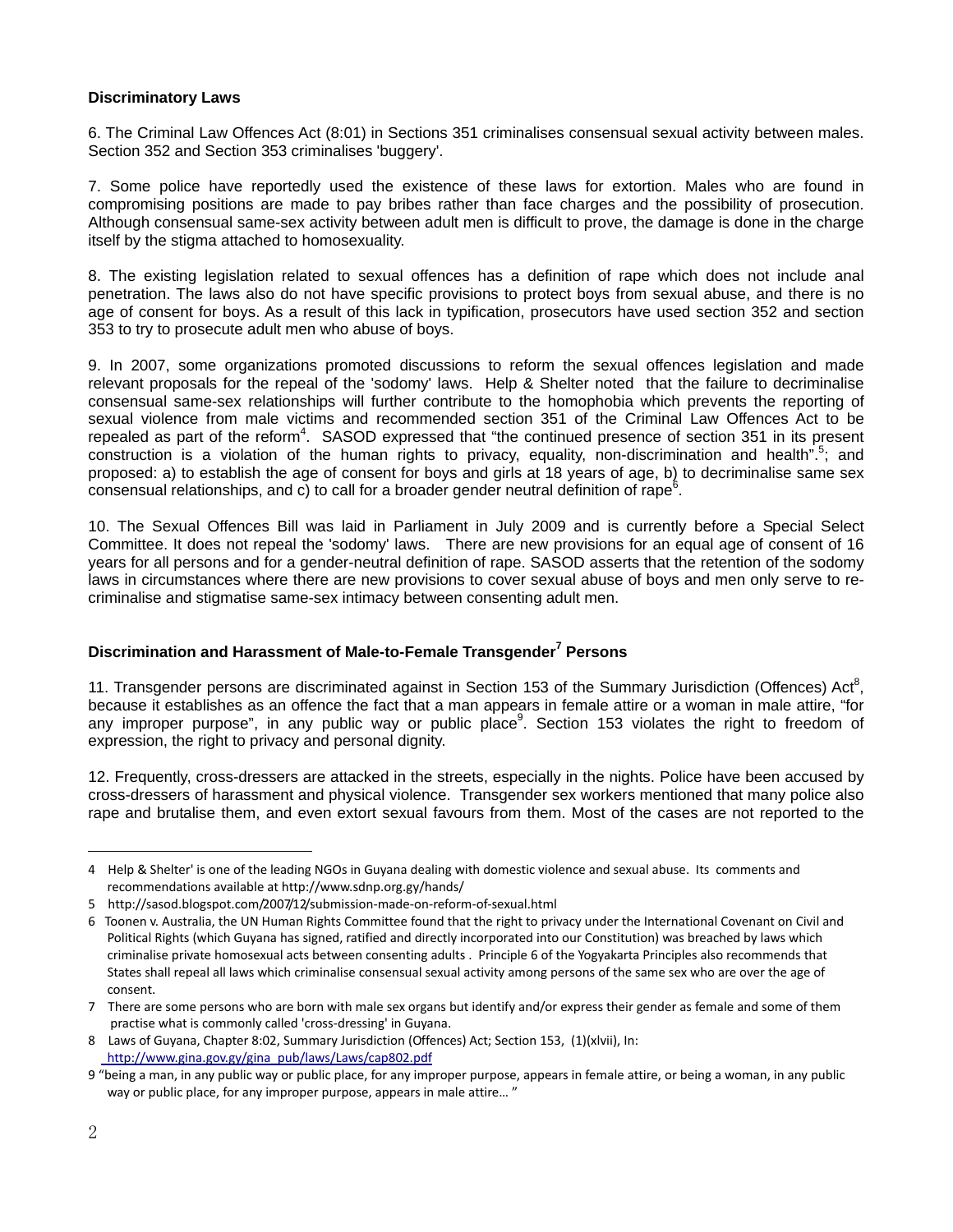## **Discriminatory Laws**

6. The Criminal Law Offences Act (8:01) in Sections 351 criminalises consensual sexual activity between males. Section 352 and Section 353 criminalises 'buggery'.

7. Some police have reportedly used the existence of these laws for extortion. Males who are found in compromising positions are made to pay bribes rather than face charges and the possibility of prosecution. Although consensual same-sex activity between adult men is difficult to prove, the damage is done in the charge itself by the stigma attached to homosexuality.

8. The existing legislation related to sexual offences has a definition of rape which does not include anal penetration. The laws also do not have specific provisions to protect boys from sexual abuse, and there is no age of consent for boys. As a result of this lack in typification, prosecutors have used section 352 and section 353 to try to prosecute adult men who abuse of boys.

9. In 2007, some organizations promoted discussions to reform the sexual offences legislation and made relevant proposals for the repeal of the 'sodomy' laws. Help & Shelter noted that the failure to decriminalise consensual same-sex relationships will further contribute to the homophobia which prevents the reporting of sexual violence from male victims and recommended section 351 of the Criminal Law Offences Act to be repealed as part of the reform<sup>4</sup>. SASOD expressed that "the continued presence of section 351 in its present construction is a violation of the human rights to privacy, equality, non-discrimination and health".<sup>5</sup>; and proposed: a) to establish the age of consent for boys and girls at 18 years of age, b) to decriminalise same sex  $\overline{\text{c}}$  consensual relationships, and  $\overline{\text{c}}$ ) to call for a broader gender neutral definition of rape<sup>6</sup>.

10. The Sexual Offences Bill was laid in Parliament in July 2009 and is currently before a Special Select Committee. It does not repeal the 'sodomy' laws. There are new provisions for an equal age of consent of 16 years for all persons and for a gender-neutral definition of rape. SASOD asserts that the retention of the sodomy laws in circumstances where there are new provisions to cover sexual abuse of boys and men only serve to recriminalise and stigmatise same-sex intimacy between consenting adult men.

## **Discrimination and Harassment of Male-to-Female Transgender<sup>7</sup> Persons**

11. Transgender persons are discriminated against in Section 153 of the Summary Jurisdiction (Offences) Act<sup>8</sup>, because it establishes as an offence the fact that a man appears in female attire or a woman in male attire, "for any improper purpose", in any public way or public place<sup>9</sup>. Section 153 violates the right to freedom of expression, the right to privacy and personal dignity.

12. Frequently, cross-dressers are attacked in the streets, especially in the nights. Police have been accused by cross-dressers of harassment and physical violence. Transgender sex workers mentioned that many police also rape and brutalise them, and even extort sexual favours from them. Most of the cases are not reported to the

<sup>4</sup> Help & Shelter' is one of the leading NGOs in Guyana dealing with domestic violence and sexual abuse. Its comments and recommendations available at http://www.sdnp.org.gy/hands/

<sup>5</sup> http://sasod.blogspot.com/2007/12/submission‐made‐on‐reform‐of‐sexual.html

<sup>6</sup> Toonen v. Australia, the UN Human Rights Committee found that the right to privacy under the International Covenant on Civil and Political Rights (which Guyana has signed, ratified and directly incorporated into our Constitution) was breached by laws which criminalise private homosexual acts between consenting adults . Principle 6 of the Yogyakarta Principles also recommends that States shall repeal all laws which criminalise consensual sexual activity among persons of the same sex who are over the age of consent.

<sup>7</sup> There are some persons who are born with male sex organs but identify and/or express their gender as female and some of them practise what is commonly called 'cross‐dressing' in Guyana.

<sup>8</sup> Laws of Guyana, Chapter 8:02, Summary Jurisdiction (Offences) Act; Section 153, (1)(xlvii), In: http://www.gina.gov.gy/gina\_pub/laws/Laws/cap802.pdf

<sup>9</sup> "being a man, in any public way or public place, for any improper purpose, appears in female attire, or being a woman, in any public way or public place, for any improper purpose, appears in male attire… "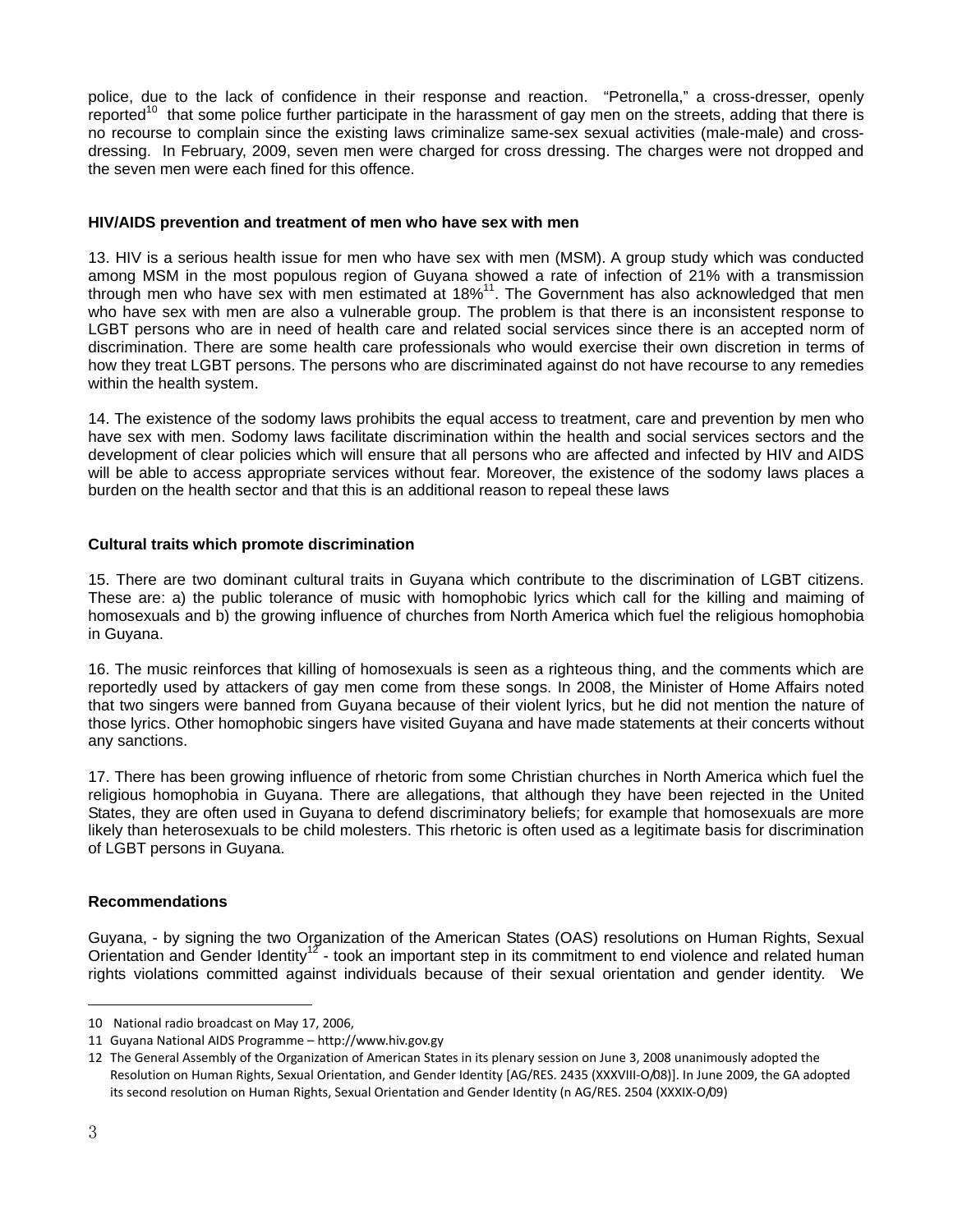police, due to the lack of confidence in their response and reaction. "Petronella," a cross-dresser, openly reported $10$  that some police further participate in the harassment of gay men on the streets, adding that there is no recourse to complain since the existing laws criminalize same-sex sexual activities (male-male) and crossdressing. In February, 2009, seven men were charged for cross dressing. The charges were not dropped and the seven men were each fined for this offence.

### **HIV/AIDS prevention and treatment of men who have sex with men**

13. HIV is a serious health issue for men who have sex with men (MSM). A group study which was conducted among MSM in the most populous region of Guyana showed a rate of infection of 21% with a transmission through men who have sex with men estimated at 18%<sup>11</sup>. The Government has also acknowledged that men who have sex with men are also a vulnerable group. The problem is that there is an inconsistent response to LGBT persons who are in need of health care and related social services since there is an accepted norm of discrimination. There are some health care professionals who would exercise their own discretion in terms of how they treat LGBT persons. The persons who are discriminated against do not have recourse to any remedies within the health system.

14. The existence of the sodomy laws prohibits the equal access to treatment, care and prevention by men who have sex with men. Sodomy laws facilitate discrimination within the health and social services sectors and the development of clear policies which will ensure that all persons who are affected and infected by HIV and AIDS will be able to access appropriate services without fear. Moreover, the existence of the sodomy laws places a burden on the health sector and that this is an additional reason to repeal these laws

### **Cultural traits which promote discrimination**

15. There are two dominant cultural traits in Guyana which contribute to the discrimination of LGBT citizens. These are: a) the public tolerance of music with homophobic lyrics which call for the killing and maiming of homosexuals and b) the growing influence of churches from North America which fuel the religious homophobia in Guyana.

16. The music reinforces that killing of homosexuals is seen as a righteous thing, and the comments which are reportedly used by attackers of gay men come from these songs. In 2008, the Minister of Home Affairs noted that two singers were banned from Guyana because of their violent lyrics, but he did not mention the nature of those lyrics. Other homophobic singers have visited Guyana and have made statements at their concerts without any sanctions.

17. There has been growing influence of rhetoric from some Christian churches in North America which fuel the religious homophobia in Guyana. There are allegations, that although they have been rejected in the United States, they are often used in Guyana to defend discriminatory beliefs; for example that homosexuals are more likely than heterosexuals to be child molesters. This rhetoric is often used as a legitimate basis for discrimination of LGBT persons in Guyana.

### **Recommendations**

Guyana, - by signing the two Organization of the American States (OAS) resolutions on Human Rights, Sexual Orientation and Gender Identity<sup>12</sup> - took an important step in its commitment to end violence and related human rights violations committed against individuals because of their sexual orientation and gender identity. We

l

<sup>10</sup> National radio broadcast on May 17, 2006,

<sup>11</sup> Guyana National AIDS Programme – http://www.hiv.gov.gy

<sup>12</sup> The General Assembly of the Organization of American States in its plenary session on June 3, 2008 unanimously adopted the Resolution on Human Rights, Sexual Orientation, and Gender Identity [AG/RES. 2435 (XXXVIII‐O/08)]. In June 2009, the GA adopted its second resolution on Human Rights, Sexual Orientation and Gender Identity (n AG/RES. 2504 (XXXIX‐O/09)